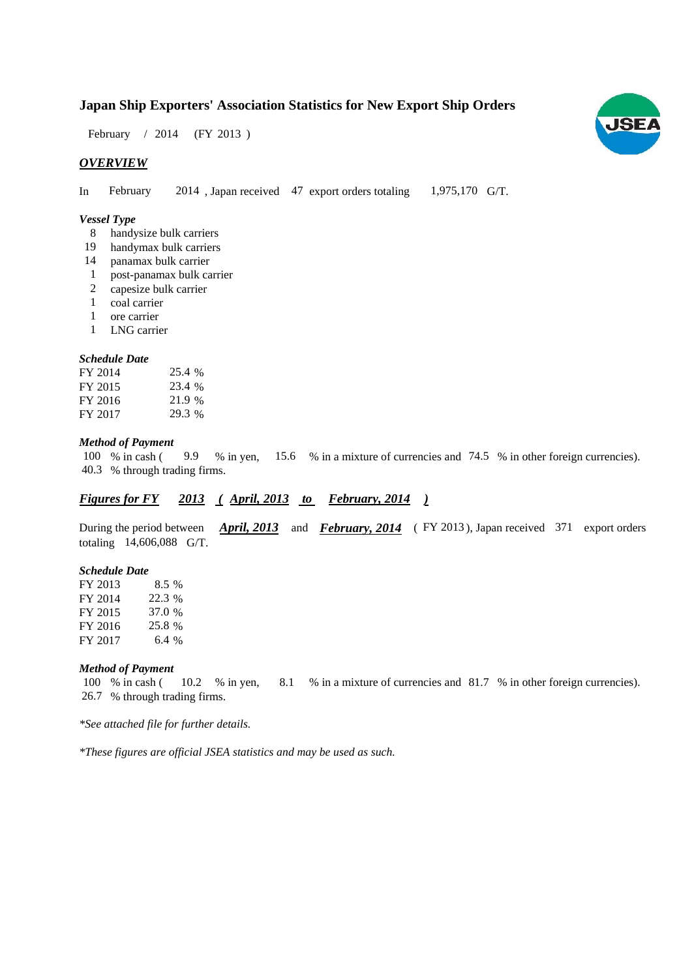# **Japan Ship Exporters' Association Statistics for New Export Ship Orders**

February / 2014 (FY 2013)

## *OVERVIEW*

In February 2014, Japan received 47 export orders totaling 1,975,170 G/T. 1,975,170 G/T. February

## *Vessel Type*

- handysize bulk carriers 8
- handymax bulk carriers 19
- panamax bulk carrier 14
- post-panamax bulk carrier 1
- capesize bulk carrier 2
- coal carrier 1
- ore carrier 1
- LNG carrier 1

#### *Schedule Date*

| FY 2014 | 25.4 % |
|---------|--------|
| FY 2015 | 23.4 % |
| FY 2016 | 21.9 % |
| FY 2017 | 29.3 % |

#### *Method of Payment*

% in cash ( $\frac{9.9}{8}$  in yen,  $\frac{15.6}{8}$  % in a mixture of currencies and 74.5 % in other foreign currencies). % through trading firms. 40.3 100 % in cash ( 9.9 % in yen,

## *Figures for FY* 2013 (*April, 2013 to February, 2014*)

During the period between *April, 2013* and *February, 2014* (FY 2013), Japan received 371 export orders totaling 14,606,088 G/T.

#### *Schedule Date*

| FY 2013 | $8.5\%$ |
|---------|---------|
| FY 2014 | 22.3 %  |
| FY 2015 | 37.0 %  |
| FY 2016 | 25.8 %  |
| FY 2017 | 6.4%    |

### *Method of Payment*

% in cash ( $10.2$  % in yen,  $8.1$  % in a mixture of currencies and  $81.7$  % in other foreign currencies). % through trading firms. 26.7 100 % in cash ( $10.2$  % in yen,

*\*See attached file for further details.*

*\*These figures are official JSEA statistics and may be used as such.*

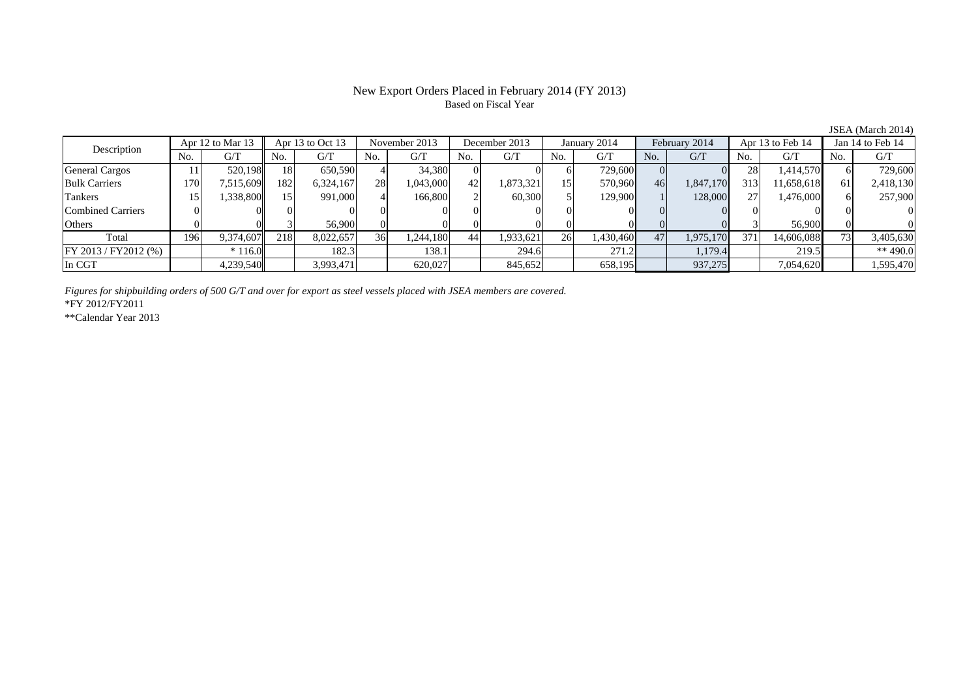## New Export Orders Placed in February 2014 (FY 2013) Based on Fiscal Year

| Description           |      | Apr 12 to Mar 13 |     | Apr 13 to Oct 13 |     | November 2013 |     | December 2013 |     | January 2014 |     | February 2014 |     | Apr 13 to Feb 14 |            | Jan 14 to Feb 14 |
|-----------------------|------|------------------|-----|------------------|-----|---------------|-----|---------------|-----|--------------|-----|---------------|-----|------------------|------------|------------------|
|                       | No.  | G/T              | No. | G/T              | No. | G/T           | No. | G/T           | No. | G/T          | No. | G/T           | No. | G/T              | No.        | G/T              |
| <b>General Cargos</b> |      | 520.198          | 18  | 650,590          |     | 34.380        |     |               |     | 729,600      |     |               | 28  | 1,414,570        |            | 729,600          |
| <b>Bulk Carriers</b>  | l 70 | 7,515,609        | 182 | 6,324,167        | 28  | 1,043,000     | 42  | 1,873,321     | 15  | 570,960      | 46  | 1,847,170     | 313 | 11,658,618       | 61         | 2,418,130        |
| Tankers               |      | 1,338,800        |     | 991,000          |     | 166,800       |     | 60,300        |     | 129,900      |     | 128,000       | 27  | 1,476,000        |            | 257,900          |
| Combined Carriers     |      |                  |     |                  |     |               |     |               |     |              |     |               |     |                  |            |                  |
| Others                |      |                  |     | 56,900           |     |               |     |               |     |              |     |               |     | 56,900           |            |                  |
| Total                 | 196  | 9,374,607        | 218 | 8,022,657        | 36  | 1,244,180     | 44  | .933,621      | 26  | 1,430,460    | 47  | 1,975,170     | 371 | 14,606,088       | <b>731</b> | 3,405,630        |
| FY 2013 / FY2012 (%)  |      | $*116.0$         |     | 182.3            |     | 138.1         |     | 294.6         |     | 271.2        |     | 1.179.4       |     | 219.5            |            | ** 490.0         |
| In CGT                |      | 4,239,540        |     | 3,993,471        |     | 620,027       |     | 845,652       |     | 658,195      |     | 937,275       |     | 7,054,620        |            | 1,595,470        |

*Figures for shipbuilding orders of 500 G/T and over for export as steel vessels placed with JSEA members are covered.*

\*FY 2012/FY2011

\*\*Calendar Year 2013

JSEA (March 2014)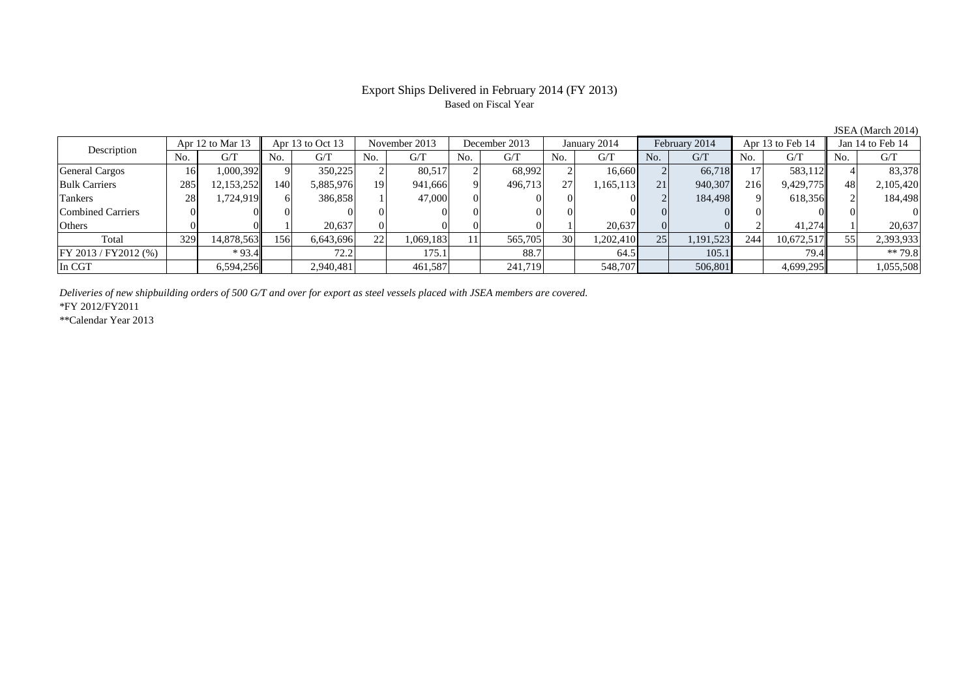## Export Ships Delivered in February 2014 (FY 2013) Based on Fiscal Year

No. G/T No. G/T No. G/T No. G/T No. G/T No. G/T No. G/T No. G/T $G/T$ General Cargos ( 16 1,000,392 9 350,225 2 80,517 2 68,992 2 16,660 2 66,718 17 583,112 4 83,378 Bulk Carriers | 285 12,153,252 140 5,885,976 19 941,666 9 496,713 27 1,165,113 21 940,307 216 9,429,775 48 2,105,420 Tankers 28 1,724,919 6 386,858 1 47,000 0 0 0 0 2 184,498 9 618,356 2 184,498 Combined Carriers 0 0 0 0 0 0 0 0 0 0 0 0 0 0 0 0Others 0 0 1 20,637 0 0 0 0 1 20,637 0 0 2 41,274 1 20,637 Total 329 14,878,563 156 6,643,696 22 1,069,183 11 565,705 30 1,202,410 25 1,191,523 244 10,672,517 55 2,393,933 FY 2013 / FY2012 (%) \* 93.4 72.2 175.1 88.7 64.5 105.1 79.4 \* 79.8 In CGT | | 6,594,256|| | 2,940,481| | 461,587| | 241,719| | 548,707| | 506,801| | 4,699,295|| | 1,055,508 Description Apr 12 to Mar 13 Apr 13 to Oct 13 November 2013 December 2013 January 2014 February 2014 Apr 13 to Feb 14 Jan 14 to Feb 14

*Deliveries of new shipbuilding orders of 500 G/T and over for export as steel vessels placed with JSEA members are covered.*

\*FY 2012/FY2011

\*\*Calendar Year 2013

JSEA (March 2014)